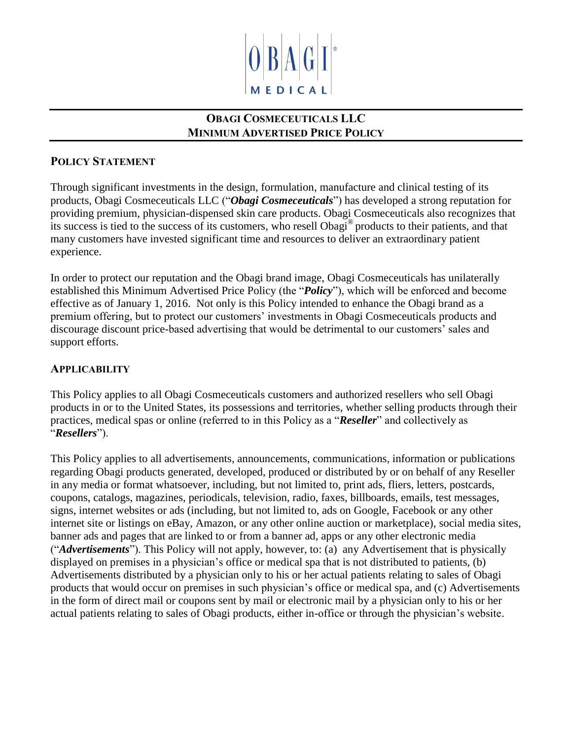

# **OBAGI COSMECEUTICALS LLC MINIMUM ADVERTISED PRICE POLICY**

## **POLICY STATEMENT**

Through significant investments in the design, formulation, manufacture and clinical testing of its products, Obagi Cosmeceuticals LLC ("*Obagi Cosmeceuticals*") has developed a strong reputation for providing premium, physician-dispensed skin care products. Obagi Cosmeceuticals also recognizes that its success is tied to the success of its customers, who resell Obagi® products to their patients, and that many customers have invested significant time and resources to deliver an extraordinary patient experience.

In order to protect our reputation and the Obagi brand image, Obagi Cosmeceuticals has unilaterally established this Minimum Advertised Price Policy (the "*Policy*"), which will be enforced and become effective as of January 1, 2016. Not only is this Policy intended to enhance the Obagi brand as a premium offering, but to protect our customers' investments in Obagi Cosmeceuticals products and discourage discount price-based advertising that would be detrimental to our customers' sales and support efforts.

# **APPLICABILITY**

This Policy applies to all Obagi Cosmeceuticals customers and authorized resellers who sell Obagi products in or to the United States, its possessions and territories, whether selling products through their practices, medical spas or online (referred to in this Policy as a "*Reseller*" and collectively as "*Resellers*").

This Policy applies to all advertisements, announcements, communications, information or publications regarding Obagi products generated, developed, produced or distributed by or on behalf of any Reseller in any media or format whatsoever, including, but not limited to, print ads, fliers, letters, postcards, coupons, catalogs, magazines, periodicals, television, radio, faxes, billboards, emails, test messages, signs, internet websites or ads (including, but not limited to, ads on Google, Facebook or any other internet site or listings on eBay, Amazon, or any other online auction or marketplace), social media sites, banner ads and pages that are linked to or from a banner ad, apps or any other electronic media ("*Advertisements*"). This Policy will not apply, however, to: (a) any Advertisement that is physically displayed on premises in a physician's office or medical spa that is not distributed to patients, (b) Advertisements distributed by a physician only to his or her actual patients relating to sales of Obagi products that would occur on premises in such physician's office or medical spa, and (c) Advertisements in the form of direct mail or coupons sent by mail or electronic mail by a physician only to his or her actual patients relating to sales of Obagi products, either in-office or through the physician's website.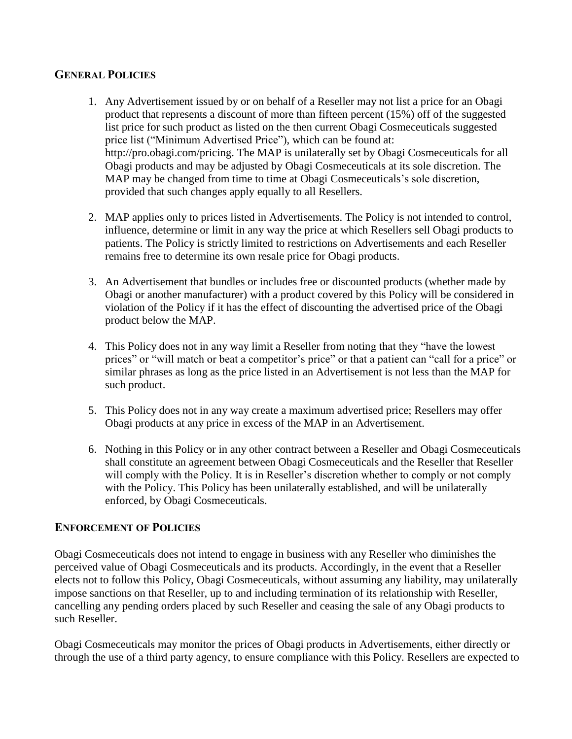#### **GENERAL POLICIES**

- 1. Any Advertisement issued by or on behalf of a Reseller may not list a price for an Obagi product that represents a discount of more than fifteen percent (15%) off of the suggested list price for such product as listed on the then current Obagi Cosmeceuticals suggested price list ("Minimum Advertised Price"), which can be found at: http://pro.obagi.com/pricing. The MAP is unilaterally set by Obagi Cosmeceuticals for all Obagi products and may be adjusted by Obagi Cosmeceuticals at its sole discretion. The MAP may be changed from time to time at Obagi Cosmeceuticals's sole discretion, provided that such changes apply equally to all Resellers.
- 2. MAP applies only to prices listed in Advertisements. The Policy is not intended to control, influence, determine or limit in any way the price at which Resellers sell Obagi products to patients. The Policy is strictly limited to restrictions on Advertisements and each Reseller remains free to determine its own resale price for Obagi products.
- 3. An Advertisement that bundles or includes free or discounted products (whether made by Obagi or another manufacturer) with a product covered by this Policy will be considered in violation of the Policy if it has the effect of discounting the advertised price of the Obagi product below the MAP.
- 4. This Policy does not in any way limit a Reseller from noting that they "have the lowest prices" or "will match or beat a competitor's price" or that a patient can "call for a price" or similar phrases as long as the price listed in an Advertisement is not less than the MAP for such product.
- 5. This Policy does not in any way create a maximum advertised price; Resellers may offer Obagi products at any price in excess of the MAP in an Advertisement.
- 6. Nothing in this Policy or in any other contract between a Reseller and Obagi Cosmeceuticals shall constitute an agreement between Obagi Cosmeceuticals and the Reseller that Reseller will comply with the Policy. It is in Reseller's discretion whether to comply or not comply with the Policy. This Policy has been unilaterally established, and will be unilaterally enforced, by Obagi Cosmeceuticals.

### **ENFORCEMENT OF POLICIES**

Obagi Cosmeceuticals does not intend to engage in business with any Reseller who diminishes the perceived value of Obagi Cosmeceuticals and its products. Accordingly, in the event that a Reseller elects not to follow this Policy, Obagi Cosmeceuticals, without assuming any liability, may unilaterally impose sanctions on that Reseller, up to and including termination of its relationship with Reseller, cancelling any pending orders placed by such Reseller and ceasing the sale of any Obagi products to such Reseller.

Obagi Cosmeceuticals may monitor the prices of Obagi products in Advertisements, either directly or through the use of a third party agency, to ensure compliance with this Policy. Resellers are expected to